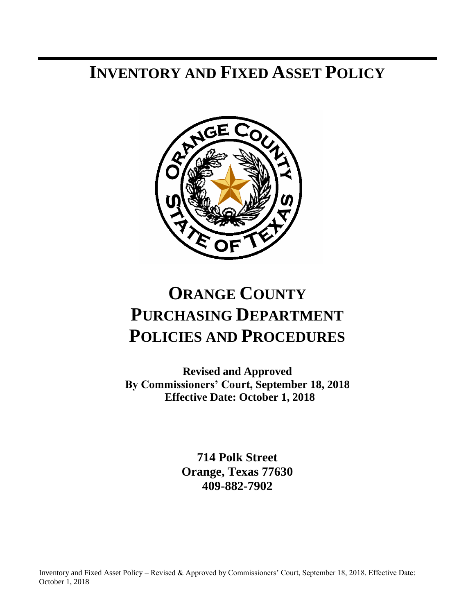## **INVENTORY AND FIXED ASSET POLICY**



# **ORANGE COUNTY PURCHASING DEPARTMENT POLICIES AND PROCEDURES**

**Revised and Approved By Commissioners' Court, September 18, 2018 Effective Date: October 1, 2018**

> **714 Polk Street Orange, Texas 77630 409-882-7902**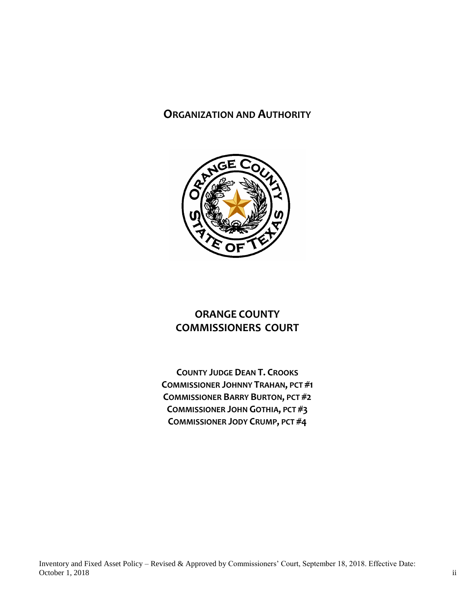### **ORGANIZATION AND AUTHORITY**



## **ORANGE COUNTY COMMISSIONERS COURT**

**COUNTY JUDGE DEAN T. CROOKS COMMISSIONER JOHNNY TRAHAN, PCT #1 COMMISSIONER BARRY BURTON, PCT #2 COMMISSIONER JOHN GOTHIA, PCT #3 COMMISSIONER JODY CRUMP, PCT #4**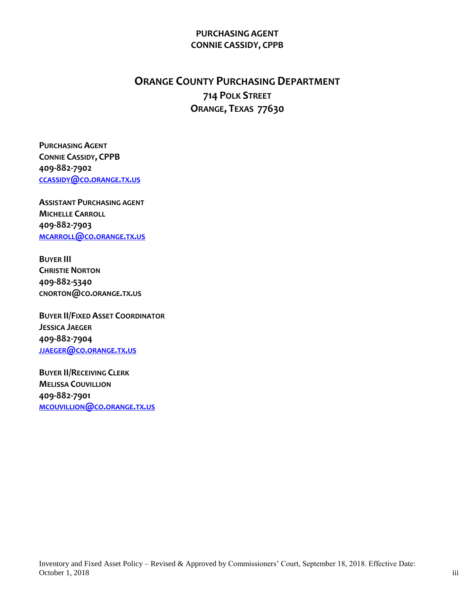#### **PURCHASING AGENT CONNIE CASSIDY, CPPB**

## **ORANGE COUNTY PURCHASING DEPARTMENT 714 POLK STREET ORANGE, TEXAS 77630**

**PURCHASING AGENT CONNIE CASSIDY, CPPB 409-882-7902 [CCASSIDY](mailto:ccassidy@co.orange.tx.us)@CO.ORANGE.TX.US**

**ASSISTANT PURCHASING AGENT MICHELLE CARROLL 409-882-7903 [MCARROLL](mailto:mcarroll@co.orange.tx.us)@CO.ORANGE.TX.US**

**BUYER III CHRISTIE NORTON 409-882-5340 CNORTON@CO.ORANGE.TX.US**

**BUYER II/FIXED ASSET COORDINATOR JESSICA JAEGER 409-882-7904 JJAEGER@CO.[ORANGE](mailto:jjaeger@co.orange.tx.us).TX.US**

**BUYER II/RECEIVING CLERK MELISSA COUVILLION 409-882-7901 [MCOUVILLION](mailto:mcouvillion@co.orange.tx.us)@CO.ORANGE.TX.US**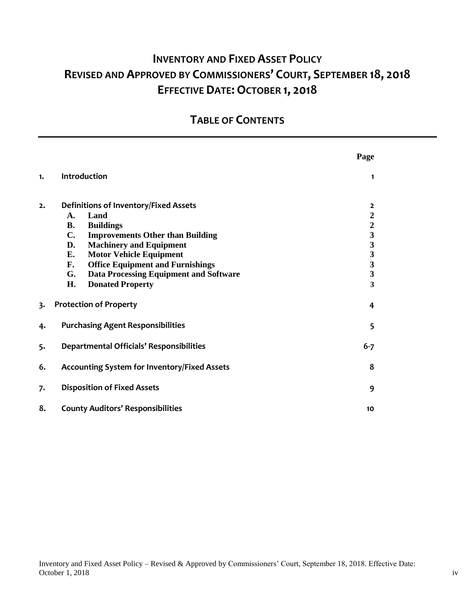## **INVENTORY AND FIXED ASSET POLICY REVISED AND APPROVED BY COMMISSIONERS' COURT, SEPTEMBER 18, 2018 EFFECTIVE DATE:OCTOBER 1, 2018**

## **TABLE OF CONTENTS**

|    |                                                                                                                                                                                                                                                                                    | Page                                                                                                                            |
|----|------------------------------------------------------------------------------------------------------------------------------------------------------------------------------------------------------------------------------------------------------------------------------------|---------------------------------------------------------------------------------------------------------------------------------|
| 1. | Introduction                                                                                                                                                                                                                                                                       | $\mathbf{1}$                                                                                                                    |
| 2. | <b>Definitions of Inventory/Fixed Assets</b><br>Land<br>A.<br>В.<br><b>Buildings</b><br>$\mathbf{C}$ .<br><b>Improvements Other than Building</b><br><b>Machinery and Equipment</b><br>D.<br><b>Motor Vehicle Equipment</b><br>Е.<br><b>Office Equipment and Furnishings</b><br>F. | $\overline{2}$<br>$\boldsymbol{2}$<br>$\overline{2}$<br>$\mathbf{3}$<br>$\mathbf{3}$<br>$\mathbf{3}$<br>$\overline{\mathbf{3}}$ |
|    | <b>Data Processing Equipment and Software</b><br>G.<br>Н.<br><b>Donated Property</b>                                                                                                                                                                                               | 3<br>3                                                                                                                          |
| 3. | <b>Protection of Property</b>                                                                                                                                                                                                                                                      | 4                                                                                                                               |
| 4. | <b>Purchasing Agent Responsibilities</b>                                                                                                                                                                                                                                           | 5                                                                                                                               |
| 5. | <b>Departmental Officials' Responsibilities</b>                                                                                                                                                                                                                                    | $6 - 7$                                                                                                                         |
| 6. | <b>Accounting System for Inventory/Fixed Assets</b>                                                                                                                                                                                                                                | 8                                                                                                                               |
| 7. | <b>Disposition of Fixed Assets</b>                                                                                                                                                                                                                                                 | 9                                                                                                                               |
| 8. | <b>County Auditors' Responsibilities</b>                                                                                                                                                                                                                                           | 10                                                                                                                              |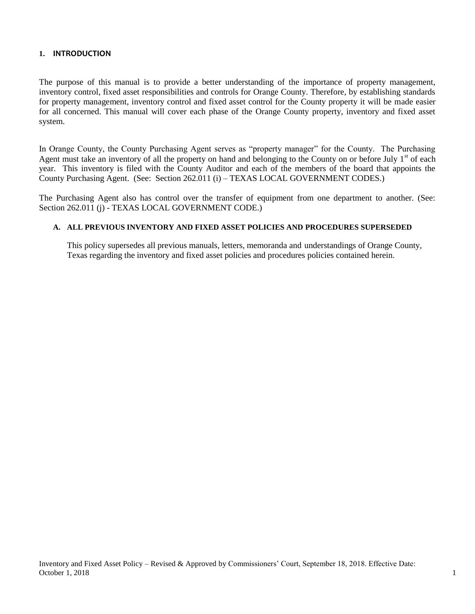#### **1. INTRODUCTION**

The purpose of this manual is to provide a better understanding of the importance of property management, inventory control, fixed asset responsibilities and controls for Orange County. Therefore, by establishing standards for property management, inventory control and fixed asset control for the County property it will be made easier for all concerned. This manual will cover each phase of the Orange County property, inventory and fixed asset system.

In Orange County, the County Purchasing Agent serves as "property manager" for the County. The Purchasing Agent must take an inventory of all the property on hand and belonging to the County on or before July  $1<sup>st</sup>$  of each year. This inventory is filed with the County Auditor and each of the members of the board that appoints the County Purchasing Agent. (See: Section 262.011 (i) – TEXAS LOCAL GOVERNMENT CODES.)

The Purchasing Agent also has control over the transfer of equipment from one department to another. (See: Section 262.011 (j) - TEXAS LOCAL GOVERNMENT CODE.)

#### **A. ALL PREVIOUS INVENTORY AND FIXED ASSET POLICIES AND PROCEDURES SUPERSEDED**

This policy supersedes all previous manuals, letters, memoranda and understandings of Orange County, Texas regarding the inventory and fixed asset policies and procedures policies contained herein.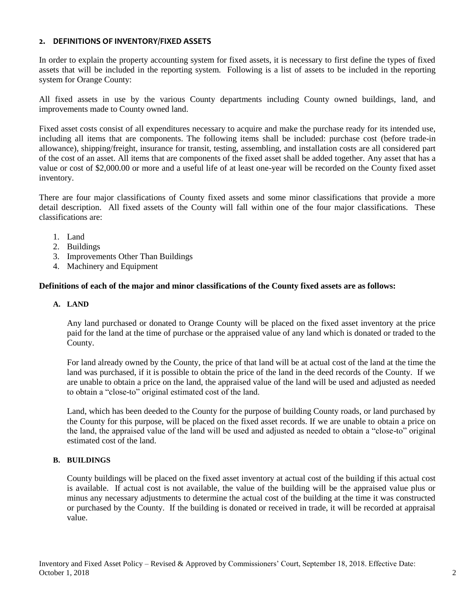#### **2. DEFINITIONS OF INVENTORY/FIXED ASSETS**

In order to explain the property accounting system for fixed assets, it is necessary to first define the types of fixed assets that will be included in the reporting system. Following is a list of assets to be included in the reporting system for Orange County:

All fixed assets in use by the various County departments including County owned buildings, land, and improvements made to County owned land.

Fixed asset costs consist of all expenditures necessary to acquire and make the purchase ready for its intended use, including all items that are components. The following items shall be included: purchase cost (before trade-in allowance), shipping/freight, insurance for transit, testing, assembling, and installation costs are all considered part of the cost of an asset. All items that are components of the fixed asset shall be added together. Any asset that has a value or cost of \$2,000.00 or more and a useful life of at least one-year will be recorded on the County fixed asset inventory.

There are four major classifications of County fixed assets and some minor classifications that provide a more detail description. All fixed assets of the County will fall within one of the four major classifications. These classifications are:

- 1. Land
- 2. Buildings
- 3. Improvements Other Than Buildings
- 4. Machinery and Equipment

#### **Definitions of each of the major and minor classifications of the County fixed assets are as follows:**

#### **A. LAND**

Any land purchased or donated to Orange County will be placed on the fixed asset inventory at the price paid for the land at the time of purchase or the appraised value of any land which is donated or traded to the County.

For land already owned by the County, the price of that land will be at actual cost of the land at the time the land was purchased, if it is possible to obtain the price of the land in the deed records of the County. If we are unable to obtain a price on the land, the appraised value of the land will be used and adjusted as needed to obtain a "close-to" original estimated cost of the land.

Land, which has been deeded to the County for the purpose of building County roads, or land purchased by the County for this purpose, will be placed on the fixed asset records. If we are unable to obtain a price on the land, the appraised value of the land will be used and adjusted as needed to obtain a "close-to" original estimated cost of the land.

#### **B. BUILDINGS**

County buildings will be placed on the fixed asset inventory at actual cost of the building if this actual cost is available. If actual cost is not available, the value of the building will be the appraised value plus or minus any necessary adjustments to determine the actual cost of the building at the time it was constructed or purchased by the County. If the building is donated or received in trade, it will be recorded at appraisal value.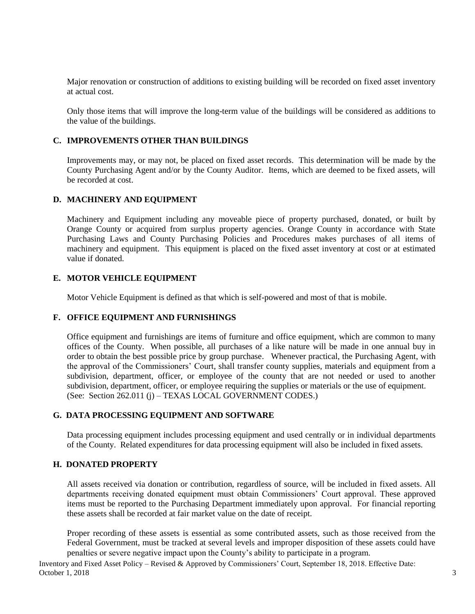Major renovation or construction of additions to existing building will be recorded on fixed asset inventory at actual cost.

Only those items that will improve the long-term value of the buildings will be considered as additions to the value of the buildings.

#### **C. IMPROVEMENTS OTHER THAN BUILDINGS**

Improvements may, or may not, be placed on fixed asset records. This determination will be made by the County Purchasing Agent and/or by the County Auditor. Items, which are deemed to be fixed assets, will be recorded at cost.

#### **D. MACHINERY AND EQUIPMENT**

Machinery and Equipment including any moveable piece of property purchased, donated, or built by Orange County or acquired from surplus property agencies. Orange County in accordance with State Purchasing Laws and County Purchasing Policies and Procedures makes purchases of all items of machinery and equipment. This equipment is placed on the fixed asset inventory at cost or at estimated value if donated.

#### **E. MOTOR VEHICLE EQUIPMENT**

Motor Vehicle Equipment is defined as that which is self-powered and most of that is mobile.

#### **F. OFFICE EQUIPMENT AND FURNISHINGS**

Office equipment and furnishings are items of furniture and office equipment, which are common to many offices of the County. When possible, all purchases of a like nature will be made in one annual buy in order to obtain the best possible price by group purchase. Whenever practical, the Purchasing Agent, with the approval of the Commissioners' Court, shall transfer county supplies, materials and equipment from a subdivision, department, officer, or employee of the county that are not needed or used to another subdivision, department, officer, or employee requiring the supplies or materials or the use of equipment. (See: Section 262.011 (j) – TEXAS LOCAL GOVERNMENT CODES.)

#### **G. DATA PROCESSING EQUIPMENT AND SOFTWARE**

Data processing equipment includes processing equipment and used centrally or in individual departments of the County. Related expenditures for data processing equipment will also be included in fixed assets.

#### **H. DONATED PROPERTY**

All assets received via donation or contribution, regardless of source, will be included in fixed assets. All departments receiving donated equipment must obtain Commissioners' Court approval. These approved items must be reported to the Purchasing Department immediately upon approval. For financial reporting these assets shall be recorded at fair market value on the date of receipt.

Proper recording of these assets is essential as some contributed assets, such as those received from the Federal Government, must be tracked at several levels and improper disposition of these assets could have penalties or severe negative impact upon the County's ability to participate in a program.

Inventory and Fixed Asset Policy – Revised & Approved by Commissioners' Court, September 18, 2018. Effective Date: October 1, 2018 3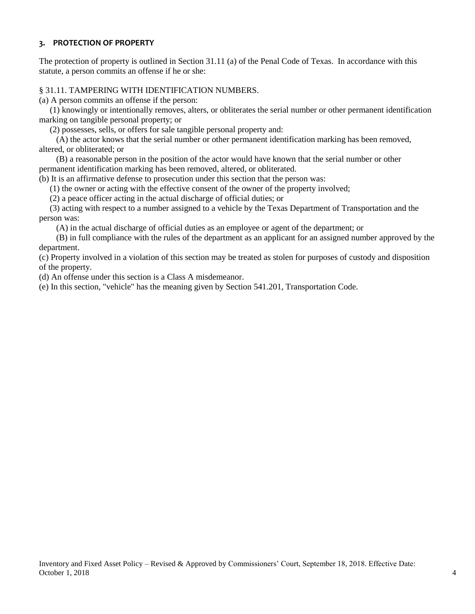#### **3. PROTECTION OF PROPERTY**

The protection of property is outlined in Section 31.11 (a) of the Penal Code of Texas. In accordance with this statute, a person commits an offense if he or she:

#### § 31.11. TAMPERING WITH IDENTIFICATION NUMBERS.

(a) A person commits an offense if the person:

 (1) knowingly or intentionally removes, alters, or obliterates the serial number or other permanent identification marking on tangible personal property; or

(2) possesses, sells, or offers for sale tangible personal property and:

 (A) the actor knows that the serial number or other permanent identification marking has been removed, altered, or obliterated; or

 (B) a reasonable person in the position of the actor would have known that the serial number or other permanent identification marking has been removed, altered, or obliterated.

(b) It is an affirmative defense to prosecution under this section that the person was:

(1) the owner or acting with the effective consent of the owner of the property involved;

(2) a peace officer acting in the actual discharge of official duties; or

 (3) acting with respect to a number assigned to a vehicle by the Texas Department of Transportation and the person was:

(A) in the actual discharge of official duties as an employee or agent of the department; or

 (B) in full compliance with the rules of the department as an applicant for an assigned number approved by the department.

(c) Property involved in a violation of this section may be treated as stolen for purposes of custody and disposition of the property.

(d) An offense under this section is a Class A misdemeanor.

(e) In this section, "vehicle" has the meaning given by Section 541.201, Transportation Code.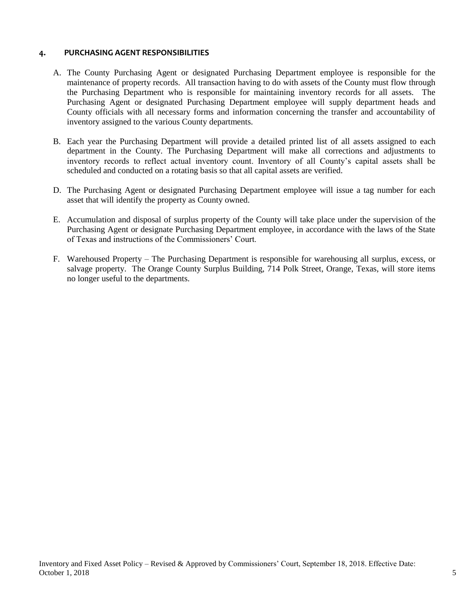#### **4. PURCHASING AGENT RESPONSIBILITIES**

- A. The County Purchasing Agent or designated Purchasing Department employee is responsible for the maintenance of property records. All transaction having to do with assets of the County must flow through the Purchasing Department who is responsible for maintaining inventory records for all assets. The Purchasing Agent or designated Purchasing Department employee will supply department heads and County officials with all necessary forms and information concerning the transfer and accountability of inventory assigned to the various County departments.
- B. Each year the Purchasing Department will provide a detailed printed list of all assets assigned to each department in the County. The Purchasing Department will make all corrections and adjustments to inventory records to reflect actual inventory count. Inventory of all County's capital assets shall be scheduled and conducted on a rotating basis so that all capital assets are verified.
- D. The Purchasing Agent or designated Purchasing Department employee will issue a tag number for each asset that will identify the property as County owned.
- E. Accumulation and disposal of surplus property of the County will take place under the supervision of the Purchasing Agent or designate Purchasing Department employee, in accordance with the laws of the State of Texas and instructions of the Commissioners' Court.
- F. Warehoused Property The Purchasing Department is responsible for warehousing all surplus, excess, or salvage property. The Orange County Surplus Building, 714 Polk Street, Orange, Texas, will store items no longer useful to the departments.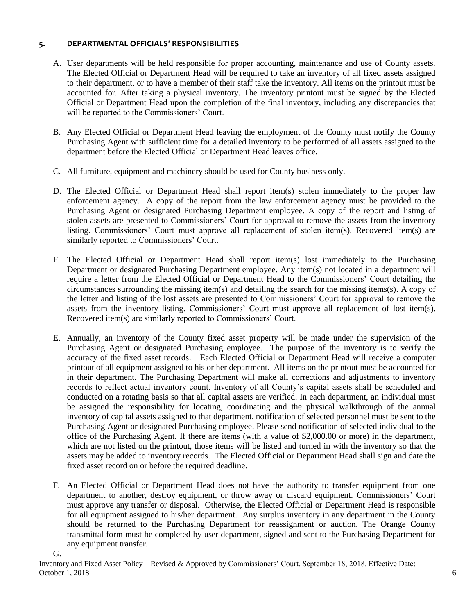#### **5. DEPARTMENTAL OFFICIALS' RESPONSIBILITIES**

- A. User departments will be held responsible for proper accounting, maintenance and use of County assets. The Elected Official or Department Head will be required to take an inventory of all fixed assets assigned to their department, or to have a member of their staff take the inventory. All items on the printout must be accounted for. After taking a physical inventory. The inventory printout must be signed by the Elected Official or Department Head upon the completion of the final inventory, including any discrepancies that will be reported to the Commissioners' Court.
- B. Any Elected Official or Department Head leaving the employment of the County must notify the County Purchasing Agent with sufficient time for a detailed inventory to be performed of all assets assigned to the department before the Elected Official or Department Head leaves office.
- C. All furniture, equipment and machinery should be used for County business only.
- D. The Elected Official or Department Head shall report item(s) stolen immediately to the proper law enforcement agency. A copy of the report from the law enforcement agency must be provided to the Purchasing Agent or designated Purchasing Department employee. A copy of the report and listing of stolen assets are presented to Commissioners' Court for approval to remove the assets from the inventory listing. Commissioners' Court must approve all replacement of stolen item(s). Recovered item(s) are similarly reported to Commissioners' Court.
- F. The Elected Official or Department Head shall report item(s) lost immediately to the Purchasing Department or designated Purchasing Department employee. Any item(s) not located in a department will require a letter from the Elected Official or Department Head to the Commissioners' Court detailing the circumstances surrounding the missing item(s) and detailing the search for the missing items(s). A copy of the letter and listing of the lost assets are presented to Commissioners' Court for approval to remove the assets from the inventory listing. Commissioners' Court must approve all replacement of lost item(s). Recovered item(s) are similarly reported to Commissioners' Court.
- E. Annually, an inventory of the County fixed asset property will be made under the supervision of the Purchasing Agent or designated Purchasing employee. The purpose of the inventory is to verify the accuracy of the fixed asset records. Each Elected Official or Department Head will receive a computer printout of all equipment assigned to his or her department. All items on the printout must be accounted for in their department. The Purchasing Department will make all corrections and adjustments to inventory records to reflect actual inventory count. Inventory of all County's capital assets shall be scheduled and conducted on a rotating basis so that all capital assets are verified. In each department, an individual must be assigned the responsibility for locating, coordinating and the physical walkthrough of the annual inventory of capital assets assigned to that department, notification of selected personnel must be sent to the Purchasing Agent or designated Purchasing employee. Please send notification of selected individual to the office of the Purchasing Agent. If there are items (with a value of \$2,000.00 or more) in the department, which are not listed on the printout, those items will be listed and turned in with the inventory so that the assets may be added to inventory records. The Elected Official or Department Head shall sign and date the fixed asset record on or before the required deadline.
- F. An Elected Official or Department Head does not have the authority to transfer equipment from one department to another, destroy equipment, or throw away or discard equipment*.* Commissioners' Court must approve any transfer or disposal. Otherwise, the Elected Official or Department Head is responsible for all equipment assigned to his/her department. Any surplus inventory in any department in the County should be returned to the Purchasing Department for reassignment or auction. The Orange County transmittal form must be completed by user department, signed and sent to the Purchasing Department for any equipment transfer.

Inventory and Fixed Asset Policy – Revised & Approved by Commissioners' Court, September 18, 2018. Effective Date: October 1, 2018 6

G.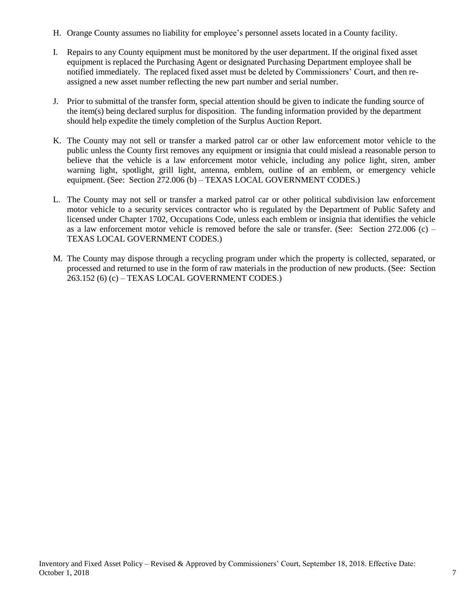- H. Orange County assumes no liability for employee's personnel assets located in a County facility.
- I. Repairs to any County equipment must be monitored by the user department. If the original fixed asset equipment is replaced the Purchasing Agent or designated Purchasing Department employee shall be notified immediately. The replaced fixed asset must be deleted by Commissioners' Court, and then reassigned a new asset number reflecting the new part number and serial number.
- J. Prior to submittal of the transfer form, special attention should be given to indicate the funding source of the item(s) being declared surplus for disposition. The funding information provided by the department should help expedite the timely completion of the Surplus Auction Report.
- K. The County may not sell or transfer a marked patrol car or other law enforcement motor vehicle to the public unless the County first removes any equipment or insignia that could mislead a reasonable person to believe that the vehicle is a law enforcement motor vehicle, including any police light, siren, amber warning light, spotlight, grill light, antenna, emblem, outline of an emblem, or emergency vehicle equipment. (See: Section 272.006 (b) – TEXAS LOCAL GOVERNMENT CODES.)
- L. The County may not sell or transfer a marked patrol car or other political subdivision law enforcement motor vehicle to a security services contractor who is regulated by the Department of Public Safety and licensed under Chapter 1702, Occupations Code, unless each emblem or insignia that identifies the vehicle as a law enforcement motor vehicle is removed before the sale or transfer. (See: Section  $272.006$  (c) – TEXAS LOCAL GOVERNMENT CODES.)
- M. The County may dispose through a recycling program under which the property is collected, separated, or processed and returned to use in the form of raw materials in the production of new products. (See: Section 263.152 (6) (c) – TEXAS LOCAL GOVERNMENT CODES.)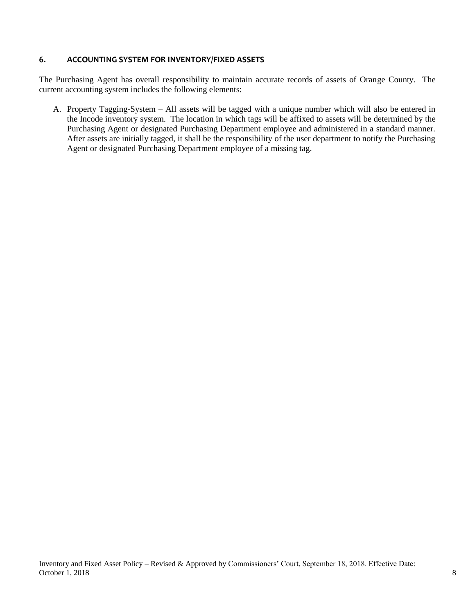#### **6. ACCOUNTING SYSTEM FOR INVENTORY/FIXED ASSETS**

The Purchasing Agent has overall responsibility to maintain accurate records of assets of Orange County. The current accounting system includes the following elements:

A. Property Tagging-System – All assets will be tagged with a unique number which will also be entered in the Incode inventory system. The location in which tags will be affixed to assets will be determined by the Purchasing Agent or designated Purchasing Department employee and administered in a standard manner. After assets are initially tagged, it shall be the responsibility of the user department to notify the Purchasing Agent or designated Purchasing Department employee of a missing tag.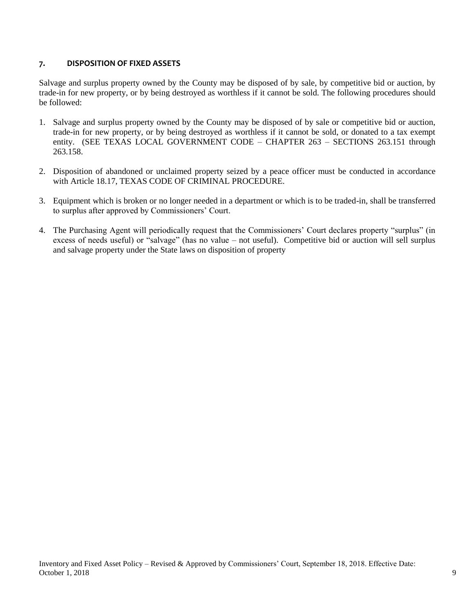#### **7. DISPOSITION OF FIXED ASSETS**

Salvage and surplus property owned by the County may be disposed of by sale, by competitive bid or auction, by trade-in for new property, or by being destroyed as worthless if it cannot be sold. The following procedures should be followed:

- 1. Salvage and surplus property owned by the County may be disposed of by sale or competitive bid or auction, trade-in for new property, or by being destroyed as worthless if it cannot be sold, or donated to a tax exempt entity. (SEE TEXAS LOCAL GOVERNMENT CODE – CHAPTER 263 – SECTIONS 263.151 through 263.158.
- 2. Disposition of abandoned or unclaimed property seized by a peace officer must be conducted in accordance with Article 18.17, TEXAS CODE OF CRIMINAL PROCEDURE.
- 3. Equipment which is broken or no longer needed in a department or which is to be traded-in, shall be transferred to surplus after approved by Commissioners' Court.
- 4. The Purchasing Agent will periodically request that the Commissioners' Court declares property "surplus" (in excess of needs useful) or "salvage" (has no value – not useful). Competitive bid or auction will sell surplus and salvage property under the State laws on disposition of property